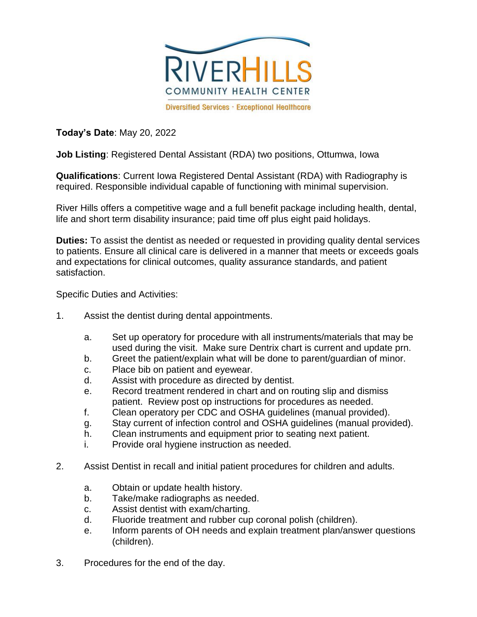

**Today's Date**: May 20, 2022

**Job Listing**: Registered Dental Assistant (RDA) two positions, Ottumwa, Iowa

**Qualifications**: Current Iowa Registered Dental Assistant (RDA) with Radiography is required. Responsible individual capable of functioning with minimal supervision.

River Hills offers a competitive wage and a full benefit package including health, dental, life and short term disability insurance; paid time off plus eight paid holidays.

**Duties:** To assist the dentist as needed or requested in providing quality dental services to patients. Ensure all clinical care is delivered in a manner that meets or exceeds goals and expectations for clinical outcomes, quality assurance standards, and patient satisfaction.

Specific Duties and Activities:

- 1. Assist the dentist during dental appointments.
	- a. Set up operatory for procedure with all instruments/materials that may be used during the visit. Make sure Dentrix chart is current and update prn.
	- b. Greet the patient/explain what will be done to parent/guardian of minor.
	- c. Place bib on patient and eyewear.
	- d. Assist with procedure as directed by dentist.
	- e. Record treatment rendered in chart and on routing slip and dismiss patient. Review post op instructions for procedures as needed.
	- f. Clean operatory per CDC and OSHA guidelines (manual provided).
	- g. Stay current of infection control and OSHA guidelines (manual provided).
	- h. Clean instruments and equipment prior to seating next patient.
	- i. Provide oral hygiene instruction as needed.
- 2. Assist Dentist in recall and initial patient procedures for children and adults.
	- a. Obtain or update health history.
	- b. Take/make radiographs as needed.
	- c. Assist dentist with exam/charting.
	- d. Fluoride treatment and rubber cup coronal polish (children).
	- e. Inform parents of OH needs and explain treatment plan/answer questions (children).
- 3. Procedures for the end of the day.